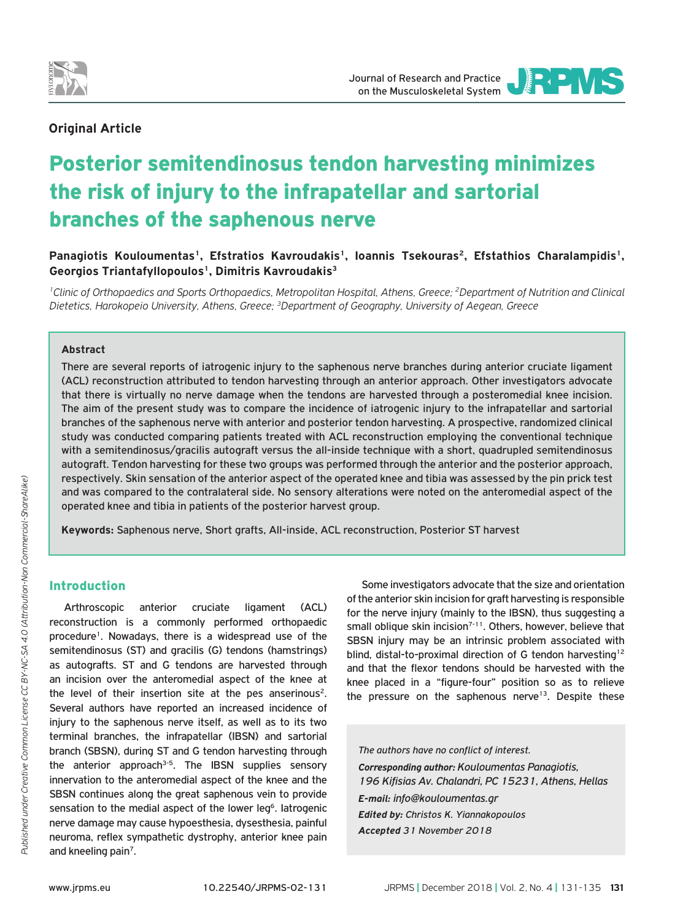

JOURNAL OF RESEARCH AND PRACTICE

## **Οriginal Article**

# Posterior semitendinosus tendon harvesting minimizes the risk of injury to the infrapatellar and sartorial branches of the saphenous nerve

Panagiotis Kouloumentas<sup>1</sup>, Efstratios Kavroudakis<sup>1</sup>, Ioannis Tsekouras<sup>2</sup>, Efstathios Charalampidis<sup>1</sup>, **Georgios Triantafyllopoulos1, Dimitris Kavroudakis3**

*1Clinic of Orthopaedics and Sports Orthopaedics, Metropolitan Hospital, Athens, Greece; 2Department of Nutrition and Clinical Dietetics, Harokopeio University, Athens, Greece; 3Department of Geography, University of Aegean, Greece*

#### **Abstract**

There are several reports of iatrogenic injury to the saphenous nerve branches during anterior cruciate ligament (ACL) reconstruction attributed to tendon harvesting through an anterior approach. Other investigators advocate that there is virtually no nerve damage when the tendons are harvested through a posteromedial knee incision. The aim of the present study was to compare the incidence of iatrogenic injury to the infrapatellar and sartorial branches of the saphenous nerve with anterior and posterior tendon harvesting. A prospective, randomized clinical study was conducted comparing patients treated with ACL reconstruction employing the conventional technique with a semitendinosus/gracilis autograft versus the all-inside technique with a short, quadrupled semitendinosus autograft. Tendon harvesting for these two groups was performed through the anterior and the posterior approach, respectively. Skin sensation of the anterior aspect of the operated knee and tibia was assessed by the pin prick test and was compared to the contralateral side. No sensory alterations were noted on the anteromedial aspect of the operated knee and tibia in patients of the posterior harvest group.

**Keywords:** Saphenous nerve, Short grafts, All-inside, ACL reconstruction, Posterior ST harvest

## Introduction

Arthroscopic anterior cruciate ligament (ACL) reconstruction is a commonly performed orthopaedic procedure<sup>1</sup>. Nowadays, there is a widespread use of the semitendinosus (ST) and gracilis (G) tendons (hamstrings) as autografts. ST and G tendons are harvested through an incision over the anteromedial aspect of the knee at the level of their insertion site at the pes anserinous<sup>2</sup>. Several authors have reported an increased incidence of injury to the saphenous nerve itself, as well as to its two terminal branches, the infrapatellar (IBSN) and sartorial branch (SBSN), during ST and G tendon harvesting through the anterior approach<sup>3-5</sup>. The IBSN supplies sensory innervation to the anteromedial aspect of the knee and the SBSN continues along the great saphenous vein to provide sensation to the medial aspect of the lower leg<sup>6</sup>. Iatrogenic nerve damage may cause hypoesthesia, dysesthesia, painful neuroma, reflex sympathetic dystrophy, anterior knee pain and kneeling pain<sup>7</sup>.

Some investigators advocate that the size and orientation of the anterior skin incision for graft harvesting is responsible for the nerve injury (mainly to the IBSN), thus suggesting a small oblique skin incision<sup>7-11</sup>. Others, however, believe that SBSN injury may be an intrinsic problem associated with blind, distal-to-proximal direction of G tendon harvesting<sup>12</sup> and that the flexor tendons should be harvested with the knee placed in a "figure-four" position so as to relieve the pressure on the saphenous nerve<sup>13</sup>. Despite these

*The authors have no conflict of interest.*

*Corresponding author: Kouloumentas Panagiotis, 196 Kifisias Av. Chalandri, PC 15231, Athens, Hellas E-mail: info@kouloumentas.gr Edited by: Christos K. Yiannakopoulos Accepted 31 November 2018*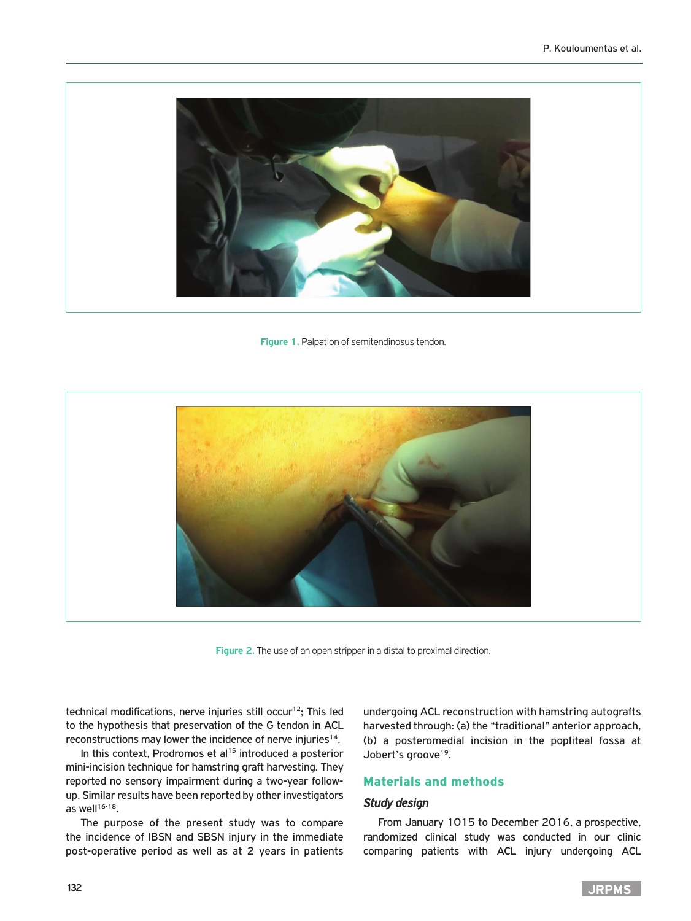

**Figure 1.** Palpation of semitendinosus tendon.



**Figure 2.** The use of an open stripper in a distal to proximal direction.

technical modifications, nerve injuries still occur<sup>12</sup>; This led to the hypothesis that preservation of the G tendon in ACL reconstructions may lower the incidence of nerve injuries<sup>14</sup>.

In this context, Prodromos et al<sup>15</sup> introduced a posterior mini-incision technique for hamstring graft harvesting. They reported no sensory impairment during a two-year followup. Similar results have been reported by other investigators as well $16-18$ .

The purpose of the present study was to compare the incidence of IBSN and SBSN injury in the immediate post-operative period as well as at 2 years in patients undergoing ACL reconstruction with hamstring autografts harvested through: (a) the "traditional" anterior approach, (b) a posteromedial incision in the popliteal fossa at Jobert's groove<sup>19</sup>.

## Materials and methods

## *Study design*

From January 1015 to December 2016, a prospective, randomized clinical study was conducted in our clinic comparing patients with ACL injury undergoing ACL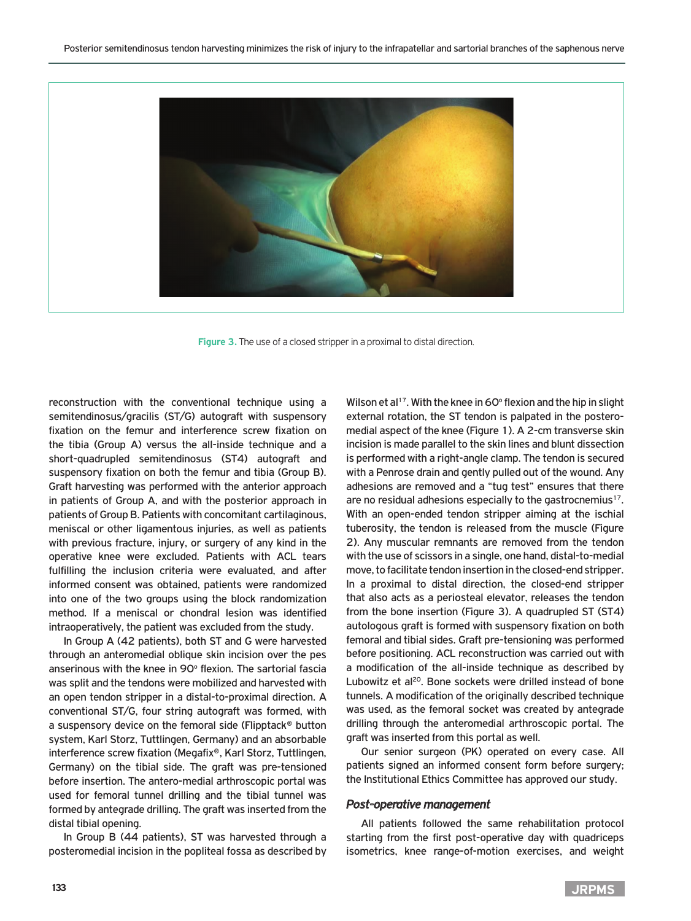

**Figure 3.** The use of a closed stripper in a proximal to distal direction.

reconstruction with the conventional technique using a semitendinosus/gracilis (ST/G) autograft with suspensory fixation on the femur and interference screw fixation on the tibia (Group A) versus the all-inside technique and a short-quadrupled semitendinosus (ST4) autograft and suspensory fixation on both the femur and tibia (Group B). Graft harvesting was performed with the anterior approach in patients of Group A, and with the posterior approach in patients of Group B. Patients with concomitant cartilaginous, meniscal or other ligamentous injuries, as well as patients with previous fracture, injury, or surgery of any kind in the operative knee were excluded. Patients with ACL tears fulfilling the inclusion criteria were evaluated, and after informed consent was obtained, patients were randomized into one of the two groups using the block randomization method. If a meniscal or chondral lesion was identified intraoperatively, the patient was excluded from the study.

In Group A (42 patients), both ST and G were harvested through an anteromedial oblique skin incision over the pes anserinous with the knee in 90° flexion. The sartorial fascia was split and the tendons were mobilized and harvested with an open tendon stripper in a distal-to-proximal direction. A conventional ST/G, four string autograft was formed, with a suspensory device on the femoral side (Flipptack® button system, Karl Storz, Tuttlingen, Germany) and an absorbable interference screw fixation (Megafix®, Karl Storz, Tuttlingen, Germany) on the tibial side. The graft was pre-tensioned before insertion. The antero-medial arthroscopic portal was used for femoral tunnel drilling and the tibial tunnel was formed by antegrade drilling. The graft was inserted from the distal tibial opening.

In Group B (44 patients), ST was harvested through a posteromedial incision in the popliteal fossa as described by

Wilson et al<sup>17</sup>. With the knee in 60° flexion and the hip in slight external rotation, the ST tendon is palpated in the posteromedial aspect of the knee (Figure 1). A 2-cm transverse skin incision is made parallel to the skin lines and blunt dissection is performed with a right-angle clamp. The tendon is secured with a Penrose drain and gently pulled out of the wound. Any adhesions are removed and a "tug test" ensures that there are no residual adhesions especially to the gastrocnemius<sup>17</sup>. With an open-ended tendon stripper aiming at the ischial tuberosity, the tendon is released from the muscle (Figure 2). Any muscular remnants are removed from the tendon with the use of scissors in a single, one hand, distal-to-medial move, to facilitate tendon insertion in the closed-end stripper. In a proximal to distal direction, the closed-end stripper that also acts as a periosteal elevator, releases the tendon from the bone insertion (Figure 3). A quadrupled ST (ST4) autologous graft is formed with suspensory fixation on both femoral and tibial sides. Graft pre-tensioning was performed before positioning. ACL reconstruction was carried out with a modification of the all-inside technique as described by Lubowitz et al<sup>20</sup>. Bone sockets were drilled instead of bone tunnels. A modification of the originally described technique was used, as the femoral socket was created by antegrade drilling through the anteromedial arthroscopic portal. The graft was inserted from this portal as well.

Our senior surgeon (PK) operated on every case. All patients signed an informed consent form before surgery; the Institutional Ethics Committee has approved our study.

#### *Post-operative management*

All patients followed the same rehabilitation protocol starting from the first post-operative day with quadriceps isometrics, knee range-of-motion exercises, and weight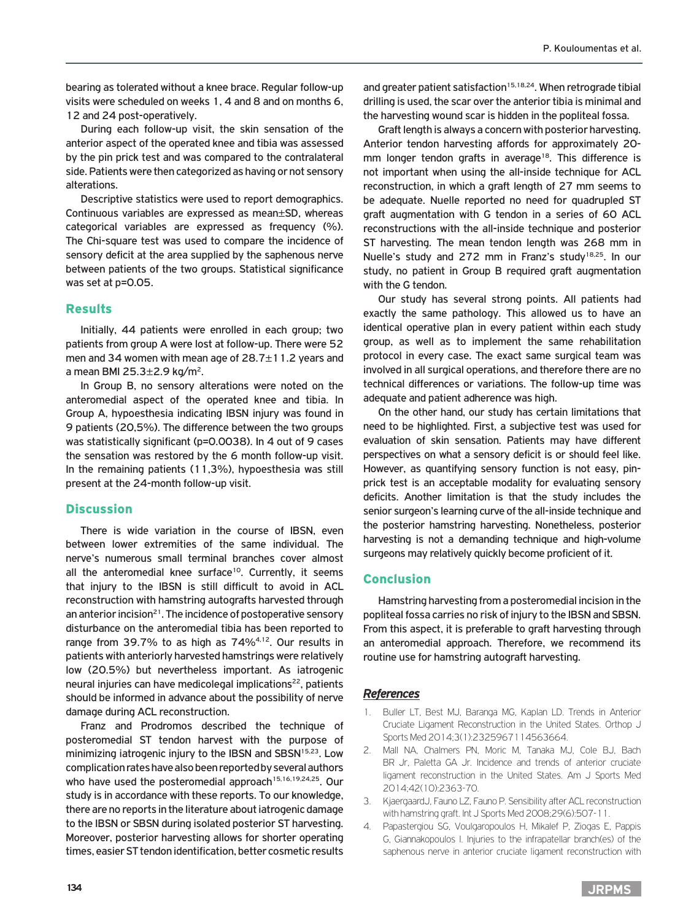bearing as tolerated without a knee brace. Regular follow-up visits were scheduled on weeks 1, 4 and 8 and on months 6, 12 and 24 post-operatively.

During each follow-up visit, the skin sensation of the anterior aspect of the operated knee and tibia was assessed by the pin prick test and was compared to the contralateral side. Patients were then categorized as having or not sensory alterations.

Descriptive statistics were used to report demographics. Continuous variables are expressed as mean±SD, whereas categorical variables are expressed as frequency (%). The Chi-square test was used to compare the incidence of sensory deficit at the area supplied by the saphenous nerve between patients of the two groups. Statistical significance was set at p=0.05.

## Results

Initially, 44 patients were enrolled in each group; two patients from group A were lost at follow-up. There were 52 men and 34 women with mean age of  $28.7 \pm 11.2$  years and a mean BMI 25.3 $\pm$ 2.9 kg/m<sup>2</sup>.

In Group B, no sensory alterations were noted on the anteromedial aspect of the operated knee and tibia. In Group A, hypoesthesia indicating IBSN injury was found in 9 patients (20,5%). The difference between the two groups was statistically significant (p=0.0038). In 4 out of 9 cases the sensation was restored by the 6 month follow-up visit. In the remaining patients (11,3%), hypoesthesia was still present at the 24-month follow-up visit.

## **Discussion**

There is wide variation in the course of IBSN, even between lower extremities of the same individual. The nerve's numerous small terminal branches cover almost all the anteromedial knee surface<sup>10</sup>. Currently, it seems that injury to the IBSN is still difficult to avoid in ACL reconstruction with hamstring autografts harvested through an anterior incision<sup>21</sup>. The incidence of postoperative sensory disturbance on the anteromedial tibia has been reported to range from 39.7% to as high as 74%<sup>4,12</sup>. Our results in patients with anteriorly harvested hamstrings were relatively low (20.5%) but nevertheless important. As iatrogenic neural injuries can have medicolegal implications<sup>22</sup>, patients should be informed in advance about the possibility of nerve damage during ACL reconstruction.

Franz and Prodromos described the technique of posteromedial ST tendon harvest with the purpose of minimizing iatrogenic injury to the IBSN and SBSN<sup>15,23</sup>. Low complication rates have also been reported by several authors who have used the posteromedial approach<sup>15,16,19,24,25</sup>. Our study is in accordance with these reports. To our knowledge, there are no reports in the literature about iatrogenic damage to the IBSN or SBSN during isolated posterior ST harvesting. Moreover, posterior harvesting allows for shorter operating times, easier ST tendon identification, better cosmetic results

and greater patient satisfaction<sup>15,18,24</sup>. When retrograde tibial drilling is used, the scar over the anterior tibia is minimal and the harvesting wound scar is hidden in the popliteal fossa.

Graft length is always a concern with posterior harvesting. Anterior tendon harvesting affords for approximately 20 mm longer tendon grafts in average<sup>18</sup>. This difference is not important when using the all-inside technique for ACL reconstruction, in which a graft length of 27 mm seems to be adequate. Nuelle reported no need for quadrupled ST graft augmentation with G tendon in a series of 60 ACL reconstructions with the all-inside technique and posterior ST harvesting. The mean tendon length was 268 mm in Nuelle's study and 272 mm in Franz's study<sup>18,25</sup>. In our study, no patient in Group B required graft augmentation with the G tendon.

Our study has several strong points. All patients had exactly the same pathology. This allowed us to have an identical operative plan in every patient within each study group, as well as to implement the same rehabilitation protocol in every case. The exact same surgical team was involved in all surgical operations, and therefore there are no technical differences or variations. The follow-up time was adequate and patient adherence was high.

On the other hand, our study has certain limitations that need to be highlighted. First, a subjective test was used for evaluation of skin sensation. Patients may have different perspectives on what a sensory deficit is or should feel like. However, as quantifying sensory function is not easy, pinprick test is an acceptable modality for evaluating sensory deficits. Another limitation is that the study includes the senior surgeon's learning curve of the all-inside technique and the posterior hamstring harvesting. Nonetheless, posterior harvesting is not a demanding technique and high-volume surgeons may relatively quickly become proficient of it.

## Conclusion

Hamstring harvesting from a posteromedial incision in the popliteal fossa carries no risk of injury to the IBSN and SBSN. From this aspect, it is preferable to graft harvesting through an anteromedial approach. Therefore, we recommend its routine use for hamstring autograft harvesting.

## *References*

- 1. Buller LT, Best MJ, Baranga MG, Kaplan LD. Trends in Anterior Cruciate Ligament Reconstruction in the United States. Orthop J Sports Med 2014;3(1):2325967114563664.
- 2. Mall NA, Chalmers PN, Moric M, Tanaka MJ, Cole BJ, Bach BR Jr, Paletta GA Jr. Incidence and trends of anterior cruciate ligament reconstruction in the United States. Am J Sports Med 2014;42(10):2363-70.
- 3. KjaergaardJ, Fauno LZ, Fauno P. Sensibility after ACL reconstruction with hamstring graft. Int J Sports Med 2008;29(6):507-11.
- 4. Papastergiou SG, Voulgaropoulos H, Mikalef P, Ziogas E, Pappis G, Giannakopoulos I. Injuries to the infrapatellar branch(es) of the saphenous nerve in anterior cruciate ligament reconstruction with